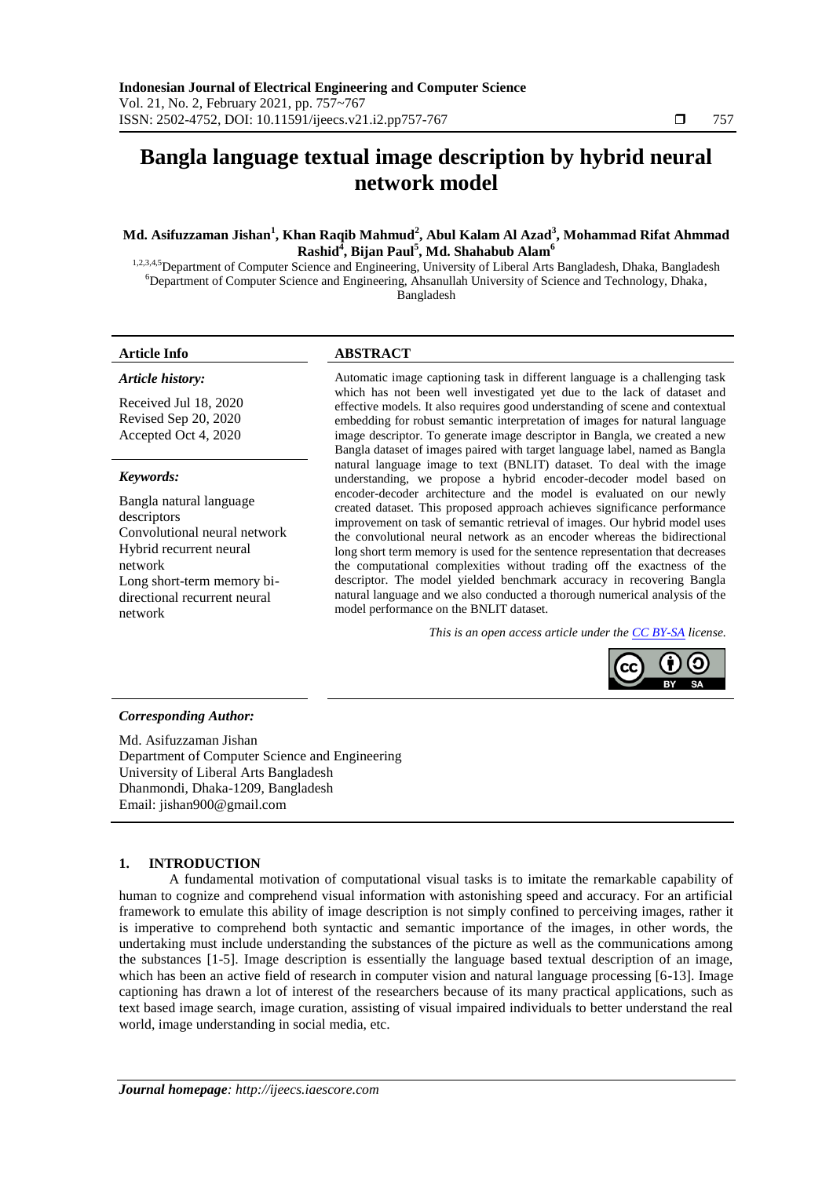# **Bangla language textual image description by hybrid neural network model**

# **Md. Asifuzzaman Jishan<sup>1</sup> , Khan Raqib Mahmud<sup>2</sup> , Abul Kalam Al Azad<sup>3</sup> , Mohammad Rifat Ahmmad Rashid<sup>4</sup> , Bijan Paul<sup>5</sup> , Md. Shahabub Alam<sup>6</sup>**

1,2,3,4,5 Department of Computer Science and Engineering, University of Liberal Arts Bangladesh, Dhaka, Bangladesh <sup>6</sup>Department of Computer Science and Engineering, Ahsanullah University of Science and Technology, Dhaka, Bangladesh

# **Article Info ABSTRACT**

*Article history:*

Received Jul 18, 2020 Revised Sep 20, 2020 Accepted Oct 4, 2020

#### *Keywords:*

Bangla natural language descriptors Convolutional neural network Hybrid recurrent neural network Long short-term memory bidirectional recurrent neural network

Automatic image captioning task in different language is a challenging task which has not been well investigated yet due to the lack of dataset and effective models. It also requires good understanding of scene and contextual embedding for robust semantic interpretation of images for natural language image descriptor. To generate image descriptor in Bangla, we created a new Bangla dataset of images paired with target language label, named as Bangla natural language image to text (BNLIT) dataset. To deal with the image understanding, we propose a hybrid encoder-decoder model based on encoder-decoder architecture and the model is evaluated on our newly created dataset. This proposed approach achieves significance performance improvement on task of semantic retrieval of images. Our hybrid model uses the convolutional neural network as an encoder whereas the bidirectional long short term memory is used for the sentence representation that decreases the computational complexities without trading off the exactness of the descriptor. The model yielded benchmark accuracy in recovering Bangla natural language and we also conducted a thorough numerical analysis of the model performance on the BNLIT dataset.

*This is an open access article under the [CC BY-SA](https://creativecommons.org/licenses/by-sa/4.0/) license.*



#### *Corresponding Author:*

Md. Asifuzzaman Jishan Department of Computer Science and Engineering University of Liberal Arts Bangladesh Dhanmondi, Dhaka-1209, Bangladesh Email: [jishan900@gmail.com](mailto:jishan900@gmail.com)

# **1. INTRODUCTION**

A fundamental motivation of computational visual tasks is to imitate the remarkable capability of human to cognize and comprehend visual information with astonishing speed and accuracy. For an artificial framework to emulate this ability of image description is not simply confined to perceiving images, rather it is imperative to comprehend both syntactic and semantic importance of the images, in other words, the undertaking must include understanding the substances of the picture as well as the communications among the substances [1-5]. Image description is essentially the language based textual description of an image, which has been an active field of research in computer vision and natural language processing [6-13]. Image captioning has drawn a lot of interest of the researchers because of its many practical applications, such as text based image search, image curation, assisting of visual impaired individuals to better understand the real world, image understanding in social media, etc.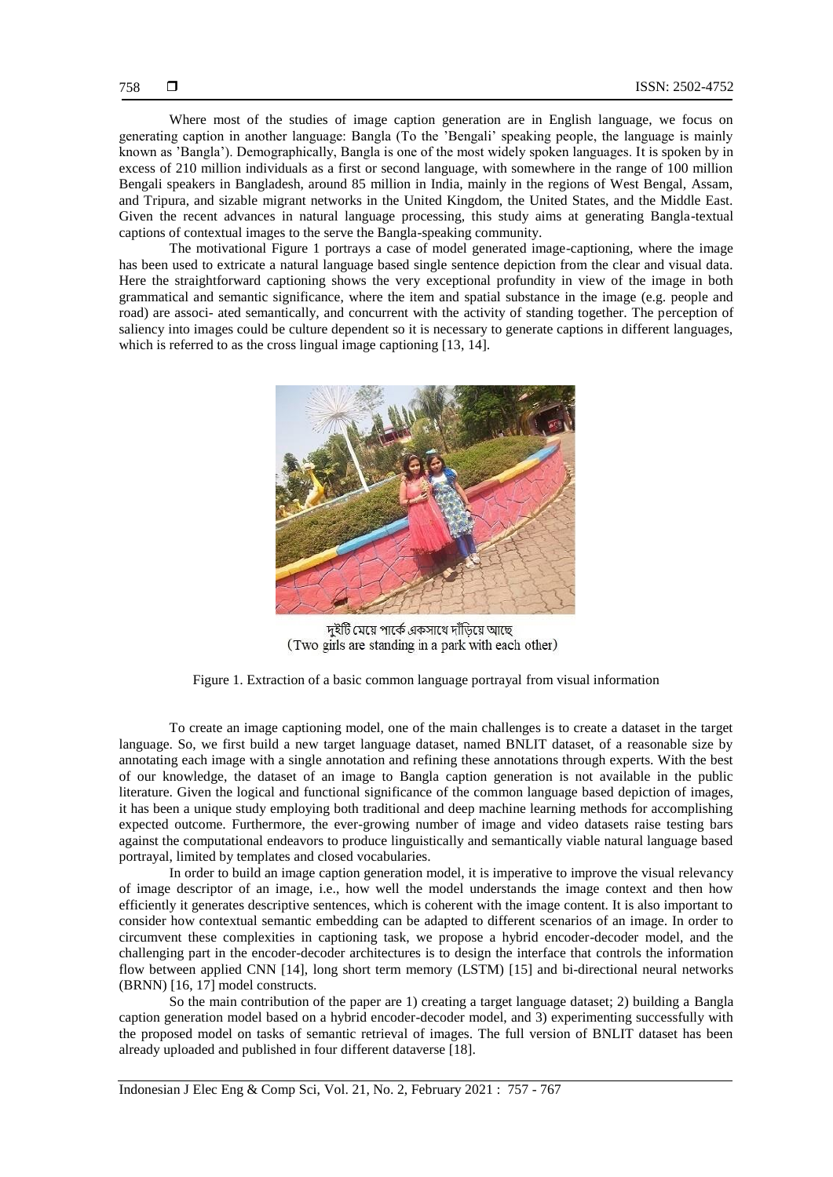Where most of the studies of image caption generation are in English language, we focus on generating caption in another language: Bangla (To the 'Bengali' speaking people, the language is mainly known as 'Bangla'). Demographically, Bangla is one of the most widely spoken languages. It is spoken by in excess of 210 million individuals as a first or second language, with somewhere in the range of 100 million Bengali speakers in Bangladesh, around 85 million in India, mainly in the regions of West Bengal, Assam, and Tripura, and sizable migrant networks in the United Kingdom, the United States, and the Middle East. Given the recent advances in natural language processing, this study aims at generating Bangla-textual captions of contextual images to the serve the Bangla-speaking community.

The motivational Figure 1 portrays a case of model generated image-captioning, where the image has been used to extricate a natural language based single sentence depiction from the clear and visual data. Here the straightforward captioning shows the very exceptional profundity in view of the image in both grammatical and semantic significance, where the item and spatial substance in the image (e.g. people and road) are associ- ated semantically, and concurrent with the activity of standing together. The perception of saliency into images could be culture dependent so it is necessary to generate captions in different languages, which is referred to as the cross lingual image captioning [13, 14].



দুইটি মেয়ে পার্কে একসাথে দাঁডিয়ে আছে (Two girls are standing in a park with each other)

Figure 1. Extraction of a basic common language portrayal from visual information

To create an image captioning model, one of the main challenges is to create a dataset in the target language. So, we first build a new target language dataset, named BNLIT dataset, of a reasonable size by annotating each image with a single annotation and refining these annotations through experts. With the best of our knowledge, the dataset of an image to Bangla caption generation is not available in the public literature. Given the logical and functional significance of the common language based depiction of images, it has been a unique study employing both traditional and deep machine learning methods for accomplishing expected outcome. Furthermore, the ever-growing number of image and video datasets raise testing bars against the computational endeavors to produce linguistically and semantically viable natural language based portrayal, limited by templates and closed vocabularies.

In order to build an image caption generation model, it is imperative to improve the visual relevancy of image descriptor of an image, i.e., how well the model understands the image context and then how efficiently it generates descriptive sentences, which is coherent with the image content. It is also important to consider how contextual semantic embedding can be adapted to different scenarios of an image. In order to circumvent these complexities in captioning task, we propose a hybrid encoder-decoder model, and the challenging part in the encoder-decoder architectures is to design the interface that controls the information flow between applied CNN [14], long short term memory (LSTM) [15] and bi-directional neural networks (BRNN) [16, 17] model constructs.

So the main contribution of the paper are 1) creating a target language dataset; 2) building a Bangla caption generation model based on a hybrid encoder-decoder model, and 3) experimenting successfully with the proposed model on tasks of semantic retrieval of images. The full version of BNLIT dataset has been already uploaded and published in four different dataverse [18].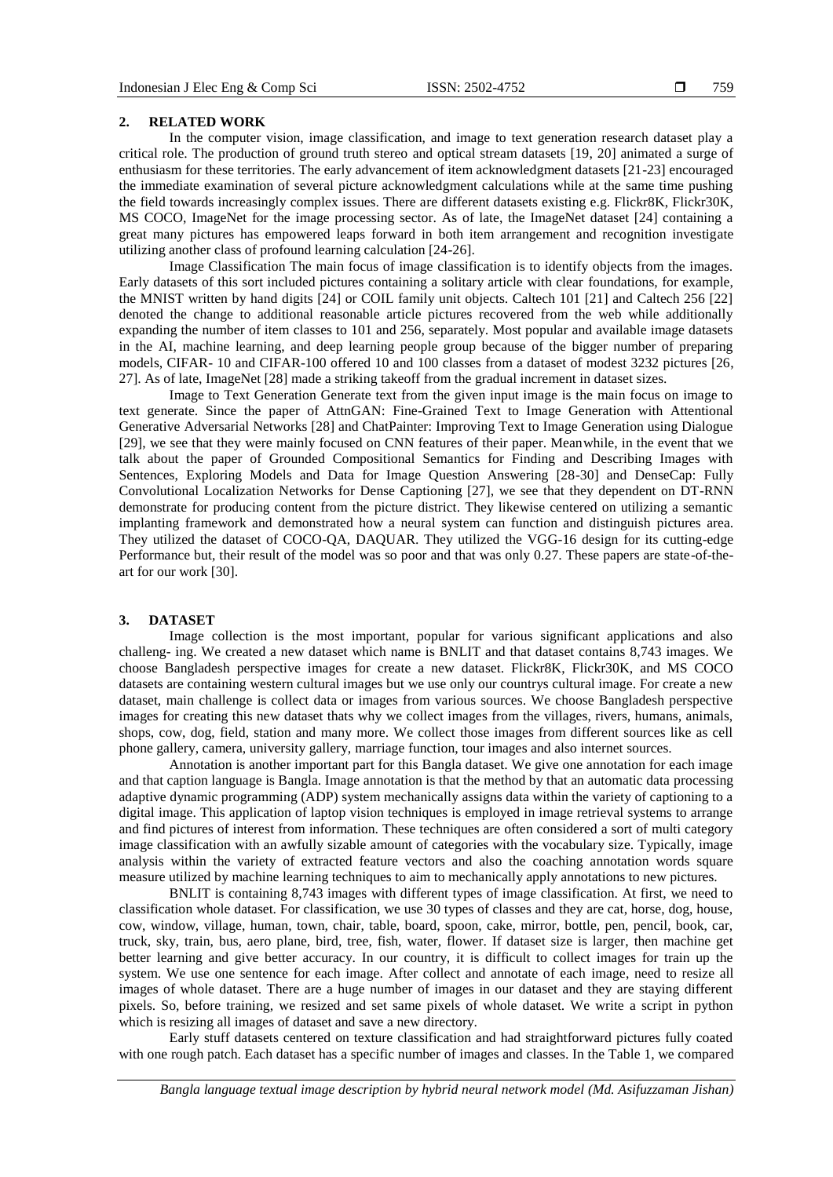# **2. RELATED WORK**

In the computer vision, image classification, and image to text generation research dataset play a critical role. The production of ground truth stereo and optical stream datasets [19, 20] animated a surge of enthusiasm for these territories. The early advancement of item acknowledgment datasets [21-23] encouraged the immediate examination of several picture acknowledgment calculations while at the same time pushing the field towards increasingly complex issues. There are different datasets existing e.g. Flickr8K, Flickr30K, MS COCO, ImageNet for the image processing sector. As of late, the ImageNet dataset [24] containing a great many pictures has empowered leaps forward in both item arrangement and recognition investigate utilizing another class of profound learning calculation [24-26].

Image Classification The main focus of image classification is to identify objects from the images. Early datasets of this sort included pictures containing a solitary article with clear foundations, for example, the MNIST written by hand digits [24] or COIL family unit objects. Caltech 101 [21] and Caltech 256 [22] denoted the change to additional reasonable article pictures recovered from the web while additionally expanding the number of item classes to 101 and 256, separately. Most popular and available image datasets in the AI, machine learning, and deep learning people group because of the bigger number of preparing models, CIFAR- 10 and CIFAR-100 offered 10 and 100 classes from a dataset of modest 3232 pictures [26, 27]. As of late, ImageNet [28] made a striking takeoff from the gradual increment in dataset sizes.

Image to Text Generation Generate text from the given input image is the main focus on image to text generate. Since the paper of AttnGAN: Fine-Grained Text to Image Generation with Attentional Generative Adversarial Networks [28] and ChatPainter: Improving Text to Image Generation using Dialogue [29], we see that they were mainly focused on CNN features of their paper. Meanwhile, in the event that we talk about the paper of Grounded Compositional Semantics for Finding and Describing Images with Sentences, Exploring Models and Data for Image Question Answering [28-30] and DenseCap: Fully Convolutional Localization Networks for Dense Captioning [27], we see that they dependent on DT-RNN demonstrate for producing content from the picture district. They likewise centered on utilizing a semantic implanting framework and demonstrated how a neural system can function and distinguish pictures area. They utilized the dataset of COCO-QA, DAQUAR. They utilized the VGG-16 design for its cutting-edge Performance but, their result of the model was so poor and that was only 0.27. These papers are state-of-theart for our work [30].

#### **3. DATASET**

Image collection is the most important, popular for various significant applications and also challeng- ing. We created a new dataset which name is BNLIT and that dataset contains 8,743 images. We choose Bangladesh perspective images for create a new dataset. Flickr8K, Flickr30K, and MS COCO datasets are containing western cultural images but we use only our countrys cultural image. For create a new dataset, main challenge is collect data or images from various sources. We choose Bangladesh perspective images for creating this new dataset thats why we collect images from the villages, rivers, humans, animals, shops, cow, dog, field, station and many more. We collect those images from different sources like as cell phone gallery, camera, university gallery, marriage function, tour images and also internet sources.

Annotation is another important part for this Bangla dataset. We give one annotation for each image and that caption language is Bangla. Image annotation is that the method by that an automatic data processing adaptive dynamic programming (ADP) system mechanically assigns data within the variety of captioning to a digital image. This application of laptop vision techniques is employed in image retrieval systems to arrange and find pictures of interest from information. These techniques are often considered a sort of multi category image classification with an awfully sizable amount of categories with the vocabulary size. Typically, image analysis within the variety of extracted feature vectors and also the coaching annotation words square measure utilized by machine learning techniques to aim to mechanically apply annotations to new pictures.

BNLIT is containing 8,743 images with different types of image classification. At first, we need to classification whole dataset. For classification, we use 30 types of classes and they are cat, horse, dog, house, cow, window, village, human, town, chair, table, board, spoon, cake, mirror, bottle, pen, pencil, book, car, truck, sky, train, bus, aero plane, bird, tree, fish, water, flower. If dataset size is larger, then machine get better learning and give better accuracy. In our country, it is difficult to collect images for train up the system. We use one sentence for each image. After collect and annotate of each image, need to resize all images of whole dataset. There are a huge number of images in our dataset and they are staying different pixels. So, before training, we resized and set same pixels of whole dataset. We write a script in python which is resizing all images of dataset and save a new directory.

Early stuff datasets centered on texture classification and had straightforward pictures fully coated with one rough patch. Each dataset has a specific number of images and classes. In the Table 1, we compared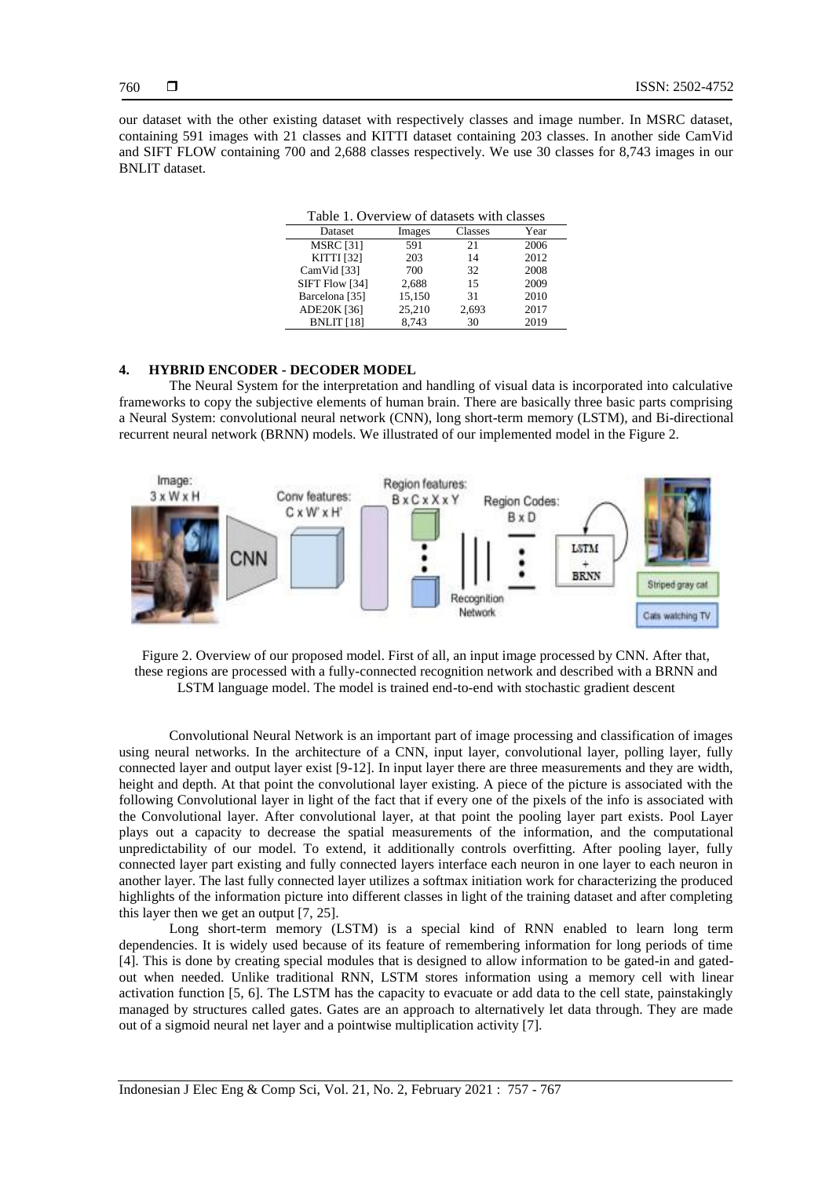our dataset with the other existing dataset with respectively classes and image number. In MSRC dataset, containing 591 images with 21 classes and KITTI dataset containing 203 classes. In another side CamVid and SIFT FLOW containing 700 and 2,688 classes respectively. We use 30 classes for 8,743 images in our BNLIT dataset.

| Table 1. Overview of datasets with classes |        |         |      |  |  |  |
|--------------------------------------------|--------|---------|------|--|--|--|
| Dataset                                    | Images | Classes | Year |  |  |  |
| <b>MSRC</b> [31]                           | 591    | 21      | 2006 |  |  |  |
| <b>KITTI</b> [32]                          | 203    | 14      | 2012 |  |  |  |
| CamVid [33]                                | 700    | 32      | 2008 |  |  |  |
| SIFT Flow [34]                             | 2,688  | 15      | 2009 |  |  |  |
| Barcelona [35]                             | 15,150 | 31      | 2010 |  |  |  |
| ADE20K [36]                                | 25,210 | 2,693   | 2017 |  |  |  |
| <b>BNLIT</b> [18]                          | 8.743  | 30      | 2019 |  |  |  |

#### **4. HYBRID ENCODER - DECODER MODEL**

The Neural System for the interpretation and handling of visual data is incorporated into calculative frameworks to copy the subjective elements of human brain. There are basically three basic parts comprising a Neural System: convolutional neural network (CNN), long short-term memory (LSTM), and Bi-directional recurrent neural network (BRNN) models. We illustrated of our implemented model in the Figure 2.



Figure 2. Overview of our proposed model. First of all, an input image processed by CNN. After that, these regions are processed with a fully-connected recognition network and described with a BRNN and LSTM language model. The model is trained end-to-end with stochastic gradient descent

Convolutional Neural Network is an important part of image processing and classification of images using neural networks. In the architecture of a CNN, input layer, convolutional layer, polling layer, fully connected layer and output layer exist [9-12]. In input layer there are three measurements and they are width, height and depth. At that point the convolutional layer existing. A piece of the picture is associated with the following Convolutional layer in light of the fact that if every one of the pixels of the info is associated with the Convolutional layer. After convolutional layer, at that point the pooling layer part exists. Pool Layer plays out a capacity to decrease the spatial measurements of the information, and the computational unpredictability of our model. To extend, it additionally controls overfitting. After pooling layer, fully connected layer part existing and fully connected layers interface each neuron in one layer to each neuron in another layer. The last fully connected layer utilizes a softmax initiation work for characterizing the produced highlights of the information picture into different classes in light of the training dataset and after completing this layer then we get an output [7, 25].

Long short-term memory (LSTM) is a special kind of RNN enabled to learn long term dependencies. It is widely used because of its feature of remembering information for long periods of time [4]. This is done by creating special modules that is designed to allow information to be gated-in and gatedout when needed. Unlike traditional RNN, LSTM stores information using a memory cell with linear activation function [5, 6]. The LSTM has the capacity to evacuate or add data to the cell state, painstakingly managed by structures called gates. Gates are an approach to alternatively let data through. They are made out of a sigmoid neural net layer and a pointwise multiplication activity [7].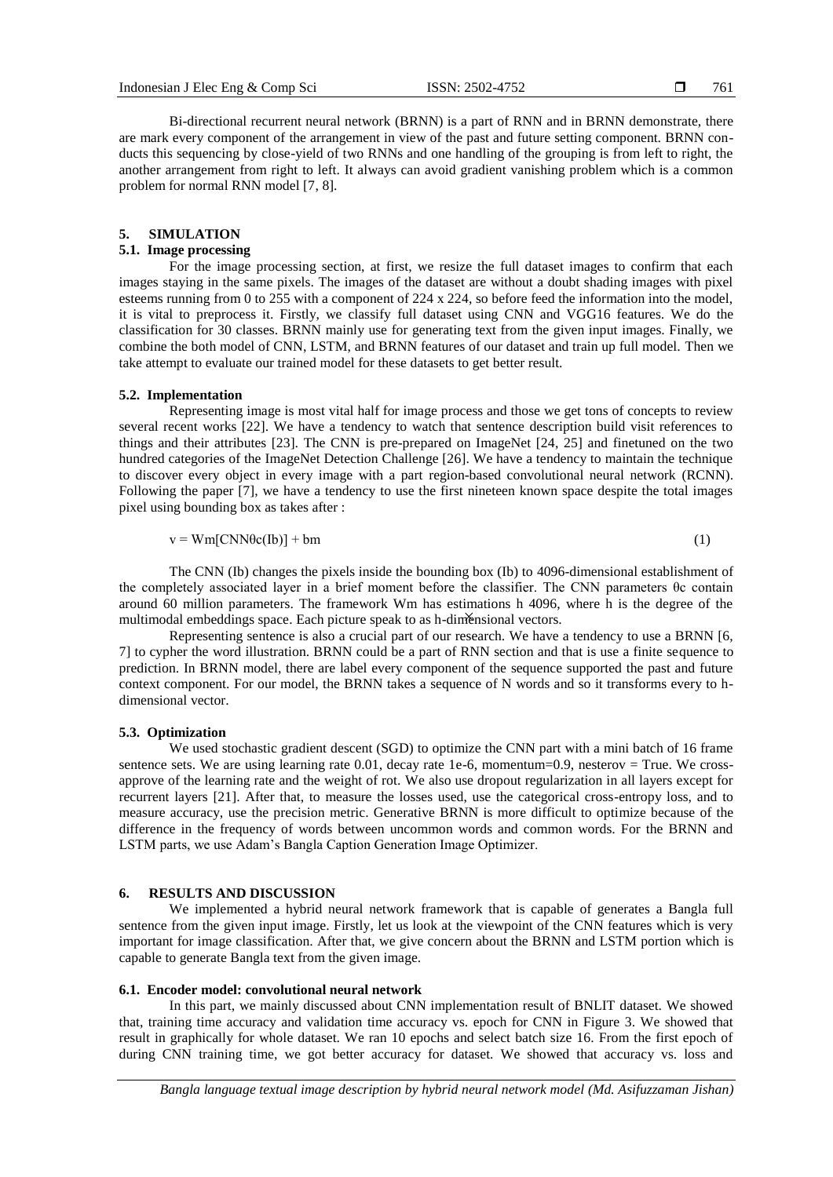Bi-directional recurrent neural network (BRNN) is a part of RNN and in BRNN demonstrate, there are mark every component of the arrangement in view of the past and future setting component. BRNN conducts this sequencing by close-yield of two RNNs and one handling of the grouping is from left to right, the another arrangement from right to left. It always can avoid gradient vanishing problem which is a common problem for normal RNN model [7, 8].

#### **5. SIMULATION**

# **5.1. Image processing**

For the image processing section, at first, we resize the full dataset images to confirm that each images staying in the same pixels. The images of the dataset are without a doubt shading images with pixel esteems running from 0 to 255 with a component of 224 x 224, so before feed the information into the model, it is vital to preprocess it. Firstly, we classify full dataset using CNN and VGG16 features. We do the classification for 30 classes. BRNN mainly use for generating text from the given input images. Finally, we combine the both model of CNN, LSTM, and BRNN features of our dataset and train up full model. Then we take attempt to evaluate our trained model for these datasets to get better result.

### **5.2. Implementation**

Representing image is most vital half for image process and those we get tons of concepts to review several recent works [22]. We have a tendency to watch that sentence description build visit references to things and their attributes [23]. The CNN is pre-prepared on ImageNet [24, 25] and finetuned on the two hundred categories of the ImageNet Detection Challenge [26]. We have a tendency to maintain the technique to discover every object in every image with a part region-based convolutional neural network (RCNN). Following the paper [7], we have a tendency to use the first nineteen known space despite the total images pixel using bounding box as takes after :

$$
v = Wm[CNN\theta c(Ib)] + bm
$$
 (1)

The CNN (Ib) changes the pixels inside the bounding box (Ib) to 4096-dimensional establishment of the completely associated layer in a brief moment before the classifier. The CNN parameters θc contain around 60 million parameters. The framework Wm has estimations h 4096, where h is the degree of the multimodal embeddings space. Each picture speak to as h-dimensional vectors.

Representing sentence is also a crucial part of our research. We have a tendency to use a BRNN [6, 7] to cypher the word illustration. BRNN could be a part of RNN section and that is use a finite sequence to prediction. In BRNN model, there are label every component of the sequence supported the past and future context component. For our model, the BRNN takes a sequence of N words and so it transforms every to hdimensional vector.

#### **5.3. Optimization**

We used stochastic gradient descent (SGD) to optimize the CNN part with a mini batch of 16 frame sentence sets. We are using learning rate 0.01, decay rate 1e-6, momentum=0.9, nesterov = True. We crossapprove of the learning rate and the weight of rot. We also use dropout regularization in all layers except for recurrent layers [21]. After that, to measure the losses used, use the categorical cross-entropy loss, and to measure accuracy, use the precision metric. Generative BRNN is more difficult to optimize because of the difference in the frequency of words between uncommon words and common words. For the BRNN and LSTM parts, we use Adam's Bangla Caption Generation Image Optimizer.

# **6. RESULTS AND DISCUSSION**

We implemented a hybrid neural network framework that is capable of generates a Bangla full sentence from the given input image. Firstly, let us look at the viewpoint of the CNN features which is very important for image classification. After that, we give concern about the BRNN and LSTM portion which is capable to generate Bangla text from the given image.

#### **6.1. Encoder model: convolutional neural network**

In this part, we mainly discussed about CNN implementation result of BNLIT dataset. We showed that, training time accuracy and validation time accuracy vs. epoch for CNN in Figure 3. We showed that result in graphically for whole dataset. We ran 10 epochs and select batch size 16. From the first epoch of during CNN training time, we got better accuracy for dataset. We showed that accuracy vs. loss and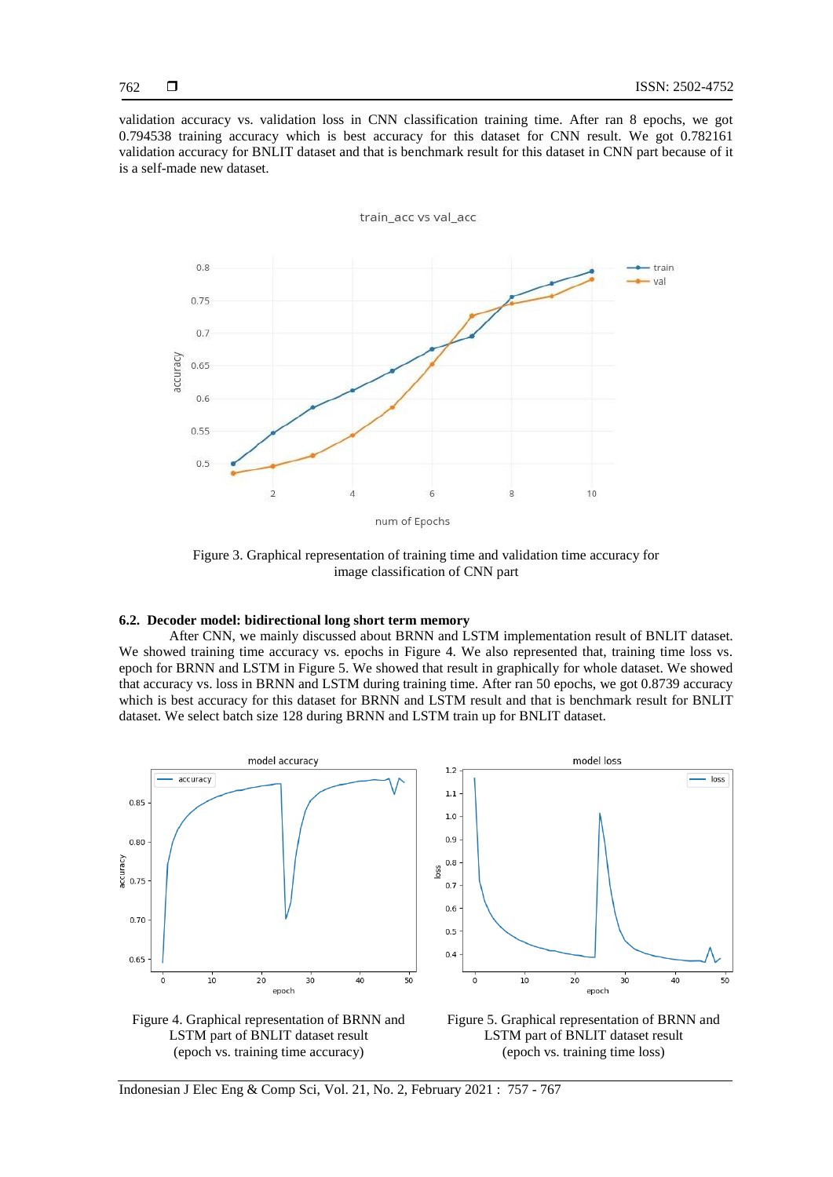validation accuracy vs. validation loss in CNN classification training time. After ran 8 epochs, we got 0.794538 training accuracy which is best accuracy for this dataset for CNN result. We got 0.782161 validation accuracy for BNLIT dataset and that is benchmark result for this dataset in CNN part because of it is a self-made new dataset.



Figure 3. Graphical representation of training time and validation time accuracy for image classification of CNN part

# **6.2. Decoder model: bidirectional long short term memory**

After CNN, we mainly discussed about BRNN and LSTM implementation result of BNLIT dataset. We showed training time accuracy vs. epochs in Figure 4. We also represented that, training time loss vs. epoch for BRNN and LSTM in Figure 5. We showed that result in graphically for whole dataset. We showed that accuracy vs. loss in BRNN and LSTM during training time. After ran 50 epochs, we got 0.8739 accuracy which is best accuracy for this dataset for BRNN and LSTM result and that is benchmark result for BNLIT dataset. We select batch size 128 during BRNN and LSTM train up for BNLIT dataset.







Indonesian J Elec Eng & Comp Sci, Vol. 21, No. 2, February 2021 : 757 - 767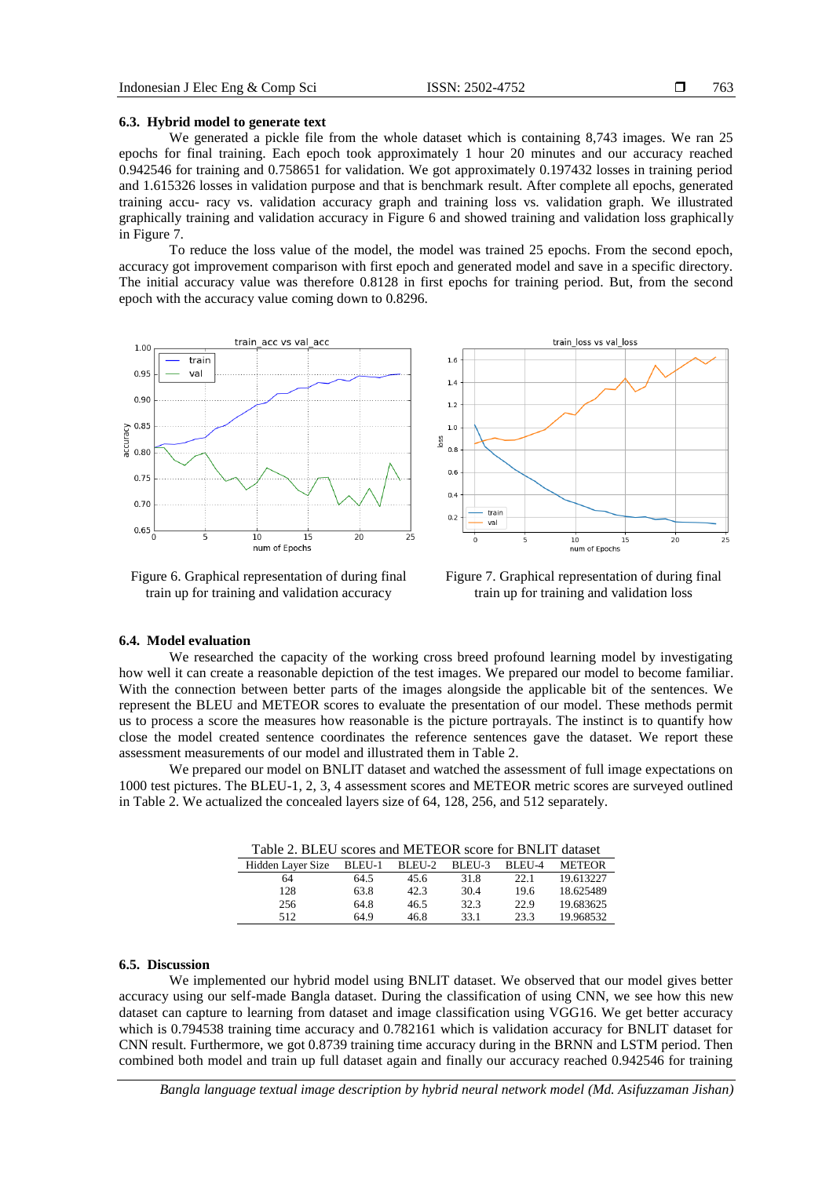#### **6.3. Hybrid model to generate text**

We generated a pickle file from the whole dataset which is containing 8,743 images. We ran 25 epochs for final training. Each epoch took approximately 1 hour 20 minutes and our accuracy reached 0.942546 for training and 0.758651 for validation. We got approximately 0.197432 losses in training period and 1.615326 losses in validation purpose and that is benchmark result. After complete all epochs, generated training accu- racy vs. validation accuracy graph and training loss vs. validation graph. We illustrated graphically training and validation accuracy in Figure 6 and showed training and validation loss graphically in Figure 7.

To reduce the loss value of the model, the model was trained 25 epochs. From the second epoch, accuracy got improvement comparison with first epoch and generated model and save in a specific directory. The initial accuracy value was therefore 0.8128 in first epochs for training period. But, from the second epoch with the accuracy value coming down to 0.8296.



Figure 6. Graphical representation of during final train up for training and validation accuracy



Figure 7. Graphical representation of during final train up for training and validation loss

### **6.4. Model evaluation**

We researched the capacity of the working cross breed profound learning model by investigating how well it can create a reasonable depiction of the test images. We prepared our model to become familiar. With the connection between better parts of the images alongside the applicable bit of the sentences. We represent the BLEU and METEOR scores to evaluate the presentation of our model. These methods permit us to process a score the measures how reasonable is the picture portrayals. The instinct is to quantify how close the model created sentence coordinates the reference sentences gave the dataset. We report these assessment measurements of our model and illustrated them in Table 2.

We prepared our model on BNLIT dataset and watched the assessment of full image expectations on 1000 test pictures. The BLEU-1, 2, 3, 4 assessment scores and METEOR metric scores are surveyed outlined in Table 2. We actualized the concealed layers size of 64, 128, 256, and 512 separately.

| Table 2. BLEU scores and METEOR score for BNLIT dataset |        |        |        |        |               |  |
|---------------------------------------------------------|--------|--------|--------|--------|---------------|--|
| Hidden Layer Size                                       | BLEU-1 | BLEU-2 | BLEU-3 | BLEU-4 | <b>METEOR</b> |  |
| 64                                                      | 64.5   | 45.6   | 31.8   | 22.1   | 19.613227     |  |
| 128                                                     | 63.8   | 42.3   | 30.4   | 19.6   | 18.625489     |  |
| 256                                                     | 64.8   | 46.5   | 32.3   | 22.9   | 19.683625     |  |
| 512                                                     | 64.9   | 46.8   | 33.1   | 23.3   | 19.968532     |  |

#### **6.5. Discussion**

We implemented our hybrid model using BNLIT dataset. We observed that our model gives better accuracy using our self-made Bangla dataset. During the classification of using CNN, we see how this new dataset can capture to learning from dataset and image classification using VGG16. We get better accuracy which is 0.794538 training time accuracy and 0.782161 which is validation accuracy for BNLIT dataset for CNN result. Furthermore, we got 0.8739 training time accuracy during in the BRNN and LSTM period. Then combined both model and train up full dataset again and finally our accuracy reached 0.942546 for training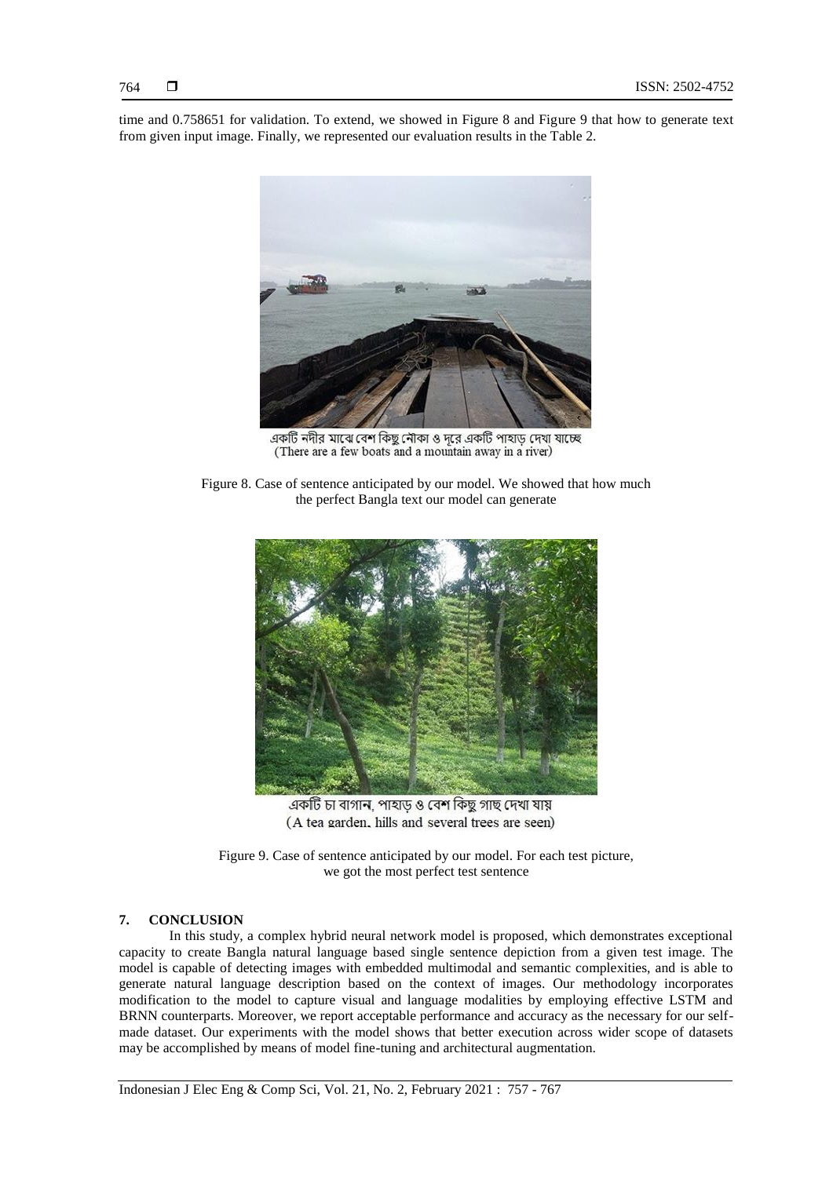time and 0.758651 for validation. To extend, we showed in Figure 8 and Figure 9 that how to generate text from given input image. Finally, we represented our evaluation results in the Table 2.



একটি নদীর মাঝে বেশ কিছু নৌকা ও দরে একটি পাহাড দেখা যাচ্ছে (There are a few boats and a mountain away in a river)

Figure 8. Case of sentence anticipated by our model. We showed that how much the perfect Bangla text our model can generate



একটি চা বাগান, পাহাড ও বেশ কিছু গাছ দেখা যায় (A tea garden, hills and several trees are seen)

Figure 9. Case of sentence anticipated by our model. For each test picture, we got the most perfect test sentence

# **7. CONCLUSION**

In this study, a complex hybrid neural network model is proposed, which demonstrates exceptional capacity to create Bangla natural language based single sentence depiction from a given test image. The model is capable of detecting images with embedded multimodal and semantic complexities, and is able to generate natural language description based on the context of images. Our methodology incorporates modification to the model to capture visual and language modalities by employing effective LSTM and BRNN counterparts. Moreover, we report acceptable performance and accuracy as the necessary for our selfmade dataset. Our experiments with the model shows that better execution across wider scope of datasets may be accomplished by means of model fine-tuning and architectural augmentation.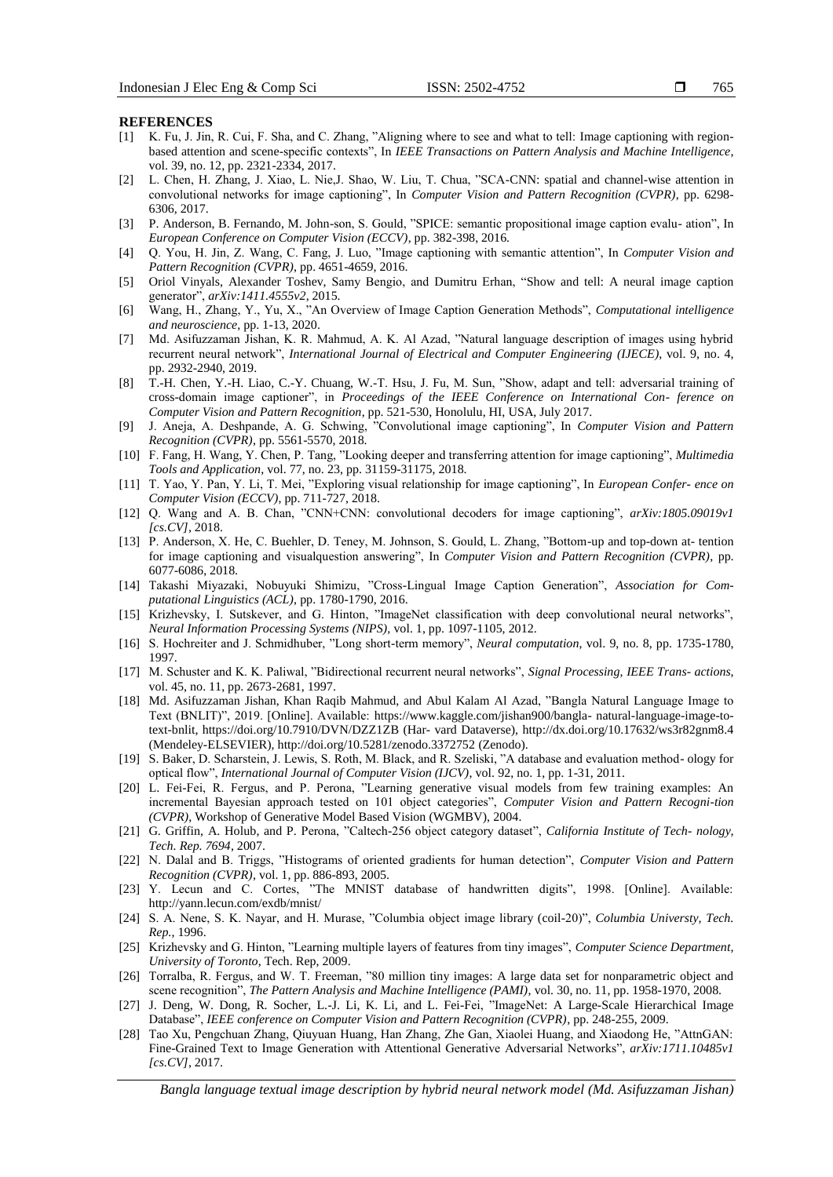**REFERENCES**

- [1] K. Fu, J. Jin, R. Cui, F. Sha, and C. Zhang, "Aligning where to see and what to tell: Image captioning with regionbased attention and scene-specific contexts", In *IEEE Transactions on Pattern Analysis and Machine Intelligence*, vol. 39, no. 12, pp. 2321-2334, 2017.
- [2] L. Chen, H. Zhang, J. Xiao, L. Nie,J. Shao, W. Liu, T. Chua, "SCA-CNN: spatial and channel-wise attention in convolutional networks for image captioning", In *Computer Vision and Pattern Recognition (CVPR)*, pp. 6298- 6306, 2017.
- [3] P. Anderson, B. Fernando, M. John-son, S. Gould, "SPICE: semantic propositional image caption evalu- ation", In *European Conference on Computer Vision (ECCV)*, pp. 382-398, 2016.
- [4] Q. You, H. Jin, Z. Wang, C. Fang, J. Luo, "Image captioning with semantic attention", In *Computer Vision and Pattern Recognition (CVPR)*, pp. 4651-4659, 2016.
- [5] Oriol Vinyals, Alexander Toshev, Samy Bengio, and Dumitru Erhan, "Show and tell: A neural image caption generator", *arXiv:1411.4555v2*, 2015.
- [6] Wang, H., Zhang, Y., Yu, X., "An Overview of Image Caption Generation Methods", *Computational intelligence and neuroscience*, pp. 1-13, 2020.
- [7] Md. Asifuzzaman Jishan, K. R. Mahmud, A. K. Al Azad, "Natural language description of images using hybrid recurrent neural network", *International Journal of Electrical and Computer Engineering (IJECE)*, vol. 9, no. 4, pp. 2932-2940, 2019.
- [8] T.-H. Chen, Y.-H. Liao, C.-Y. Chuang, W.-T. Hsu, J. Fu, M. Sun, "Show, adapt and tell: adversarial training of cross-domain image captioner", in *Proceedings of the IEEE Conference on International Con- ference on Computer Vision and Pattern Recognition*, pp. 521-530, Honolulu, HI, USA, July 2017.
- [9] J. Aneja, A. Deshpande, A. G. Schwing, "Convolutional image captioning", In *Computer Vision and Pattern Recognition (CVPR)*, pp. 5561-5570, 2018.
- [10] F. Fang, H. Wang, Y. Chen, P. Tang, "Looking deeper and transferring attention for image captioning", *Multimedia Tools and Application*, vol. 77, no. 23, pp. 31159-31175, 2018.
- [11] T. Yao, Y. Pan, Y. Li, T. Mei, "Exploring visual relationship for image captioning", In *European Confer- ence on Computer Vision (ECCV)*, pp. 711-727, 2018.
- [12] Q. Wang and A. B. Chan, "CNN+CNN: convolutional decoders for image captioning", *arXiv:1805.09019v1 [cs.CV]*, 2018.
- [13] P. Anderson, X. He, C. Buehler, D. Teney, M. Johnson, S. Gould, L. Zhang, "Bottom-up and top-down at- tention for image captioning and visualquestion answering", In *Computer Vision and Pattern Recognition (CVPR)*, pp. 6077-6086, 2018.
- [14] Takashi Miyazaki, Nobuyuki Shimizu, "Cross-Lingual Image Caption Generation", *Association for Computational Linguistics (ACL)*, pp. 1780-1790, 2016.
- [15] Krizhevsky, I. Sutskever, and G. Hinton, "ImageNet classification with deep convolutional neural networks", *Neural Information Processing Systems (NIPS)*, vol. 1, pp. 1097-1105, 2012.
- [16] S. Hochreiter and J. Schmidhuber, "Long short-term memory", *Neural computation*, vol. 9, no. 8, pp. 1735-1780, 1997.
- [17] M. Schuster and K. K. Paliwal, "Bidirectional recurrent neural networks", *Signal Processing, IEEE Trans- actions*, vol. 45, no. 11, pp. 2673-2681, 1997.
- [18] Md. Asifuzzaman Jishan, Khan Raqib Mahmud, and Abul Kalam Al Azad, "Bangla Natural Language Image to Text (BNLIT)", 2019. [Online]. Available: [https://www.kaggle.com/jishan900/bangla-](http://www.kaggle.com/jishan900/bangla-) natural-language-image-totext-bnlit, https://doi.org/10.7910/DVN/DZZ1ZB (Har- vard Dataverse),<http://dx.doi.org/10.17632/ws3r82gnm8.4> (Mendeley-ELSEVIER), [http://doi.org/10.5281/zenodo.3372752 \(](http://doi.org/10.5281/zenodo.3372752)Zenodo).
- [19] S. Baker, D. Scharstein, J. Lewis, S. Roth, M. Black, and R. Szeliski, "A database and evaluation method- ology for optical flow", *International Journal of Computer Vision (IJCV)*, vol. 92, no. 1, pp. 1-31, 2011.
- [20] L. Fei-Fei, R. Fergus, and P. Perona, "Learning generative visual models from few training examples: An incremental Bayesian approach tested on 101 object categories", *Computer Vision and Pattern Recogni-tion (CVPR)*, Workshop of Generative Model Based Vision (WGMBV), 2004.
- [21] G. Griffin, A. Holub, and P. Perona, "Caltech-256 object category dataset", *California Institute of Tech- nology, Tech. Rep. 7694*, 2007.
- [22] N. Dalal and B. Triggs, "Histograms of oriented gradients for human detection", *Computer Vision and Pattern Recognition (CVPR)*, vol. 1, pp. 886-893, 2005.
- [23] Y. Lecun and C. Cortes, "The MNIST database of handwritten digits", 1998. [Online]. Available: <http://yann.lecun.com/exdb/mnist/>
- [24] S. A. Nene, S. K. Nayar, and H. Murase, "Columbia object image library (coil-20)", *Columbia Universty, Tech. Rep.*, 1996.
- [25] Krizhevsky and G. Hinton, "Learning multiple layers of features from tiny images", *Computer Science Department, University of Toronto*, Tech. Rep, 2009.
- [26] Torralba, R. Fergus, and W. T. Freeman, "80 million tiny images: A large data set for nonparametric object and scene recognition", *The Pattern Analysis and Machine Intelligence (PAMI)*, vol. 30, no. 11, pp. 1958-1970, 2008.
- [27] J. Deng, W. Dong, R. Socher, L.-J. Li, K. Li, and L. Fei-Fei, "ImageNet: A Large-Scale Hierarchical Image Database", *IEEE conference on Computer Vision and Pattern Recognition (CVPR)*, pp. 248-255, 2009.
- [28] Tao Xu, Pengchuan Zhang, Qiuyuan Huang, Han Zhang, Zhe Gan, Xiaolei Huang, and Xiaodong He, "AttnGAN: Fine-Grained Text to Image Generation with Attentional Generative Adversarial Networks", *arXiv:1711.10485v1 [cs.CV]*, 2017.

*Bangla language textual image description by hybrid neural network model (Md. Asifuzzaman Jishan)*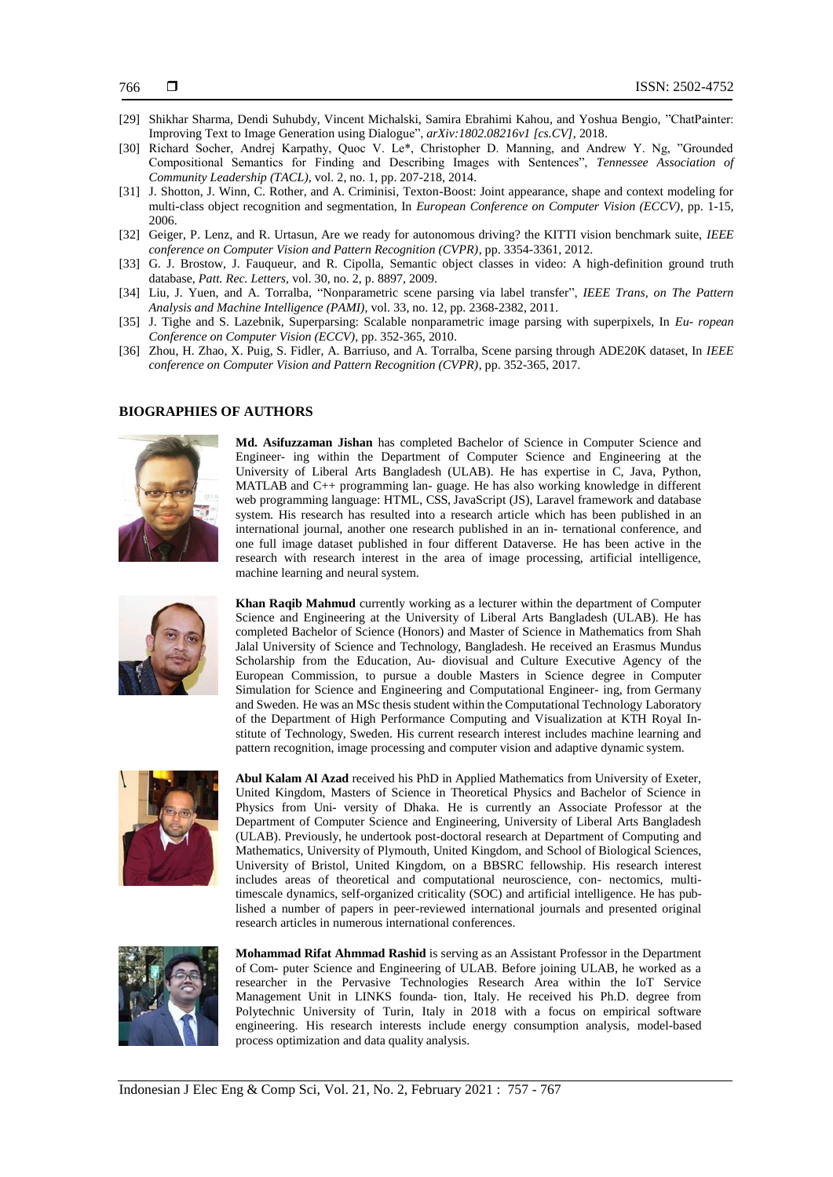- [29] Shikhar Sharma, Dendi Suhubdy, Vincent Michalski, Samira Ebrahimi Kahou, and Yoshua Bengio, "ChatPainter: Improving Text to Image Generation using Dialogue", *arXiv:1802.08216v1 [cs.CV]*, 2018.
- [30] Richard Socher, Andrej Karpathy, Quoc V. Le\*, Christopher D. Manning, and Andrew Y. Ng, "Grounded Compositional Semantics for Finding and Describing Images with Sentences", *Tennessee Association of Community Leadership (TACL)*, vol. 2, no. 1, pp. 207-218, 2014.
- [31] J. Shotton, J. Winn, C. Rother, and A. Criminisi, Texton-Boost: Joint appearance, shape and context modeling for multi-class object recognition and segmentation, In *European Conference on Computer Vision (ECCV)*, pp. 1-15, 2006.
- [32] Geiger, P. Lenz, and R. Urtasun, Are we ready for autonomous driving? the KITTI vision benchmark suite, *IEEE conference on Computer Vision and Pattern Recognition (CVPR)*, pp. 3354-3361, 2012.
- [33] G. J. Brostow, J. Fauqueur, and R. Cipolla, Semantic object classes in video: A high-definition ground truth database, *Patt. Rec. Letters,* vol. 30, no. 2, p. 8897, 2009.
- [34] Liu, J. Yuen, and A. Torralba, "Nonparametric scene parsing via label transfer", *IEEE Trans, on The Pattern Analysis and Machine Intelligence (PAMI)*, vol. 33, no. 12, pp. 2368-2382, 2011.
- [35] J. Tighe and S. Lazebnik, Superparsing: Scalable nonparametric image parsing with superpixels, In *Eu- ropean Conference on Computer Vision (ECCV)*, pp. 352-365, 2010.
- [36] Zhou, H. Zhao, X. Puig, S. Fidler, A. Barriuso, and A. Torralba, Scene parsing through ADE20K dataset, In *IEEE conference on Computer Vision and Pattern Recognition (CVPR)*, pp. 352-365, 2017.

#### **BIOGRAPHIES OF AUTHORS**



**Md. Asifuzzaman Jishan** has completed Bachelor of Science in Computer Science and Engineer- ing within the Department of Computer Science and Engineering at the University of Liberal Arts Bangladesh (ULAB). He has expertise in C, Java, Python, MATLAB and C++ programming lan- guage. He has also working knowledge in different web programming language: HTML, CSS, JavaScript (JS), Laravel framework and database system. His research has resulted into a research article which has been published in an international journal, another one research published in an in- ternational conference, and one full image dataset published in four different Dataverse. He has been active in the research with research interest in the area of image processing, artificial intelligence, machine learning and neural system.



**Khan Raqib Mahmud** currently working as a lecturer within the department of Computer Science and Engineering at the University of Liberal Arts Bangladesh (ULAB). He has completed Bachelor of Science (Honors) and Master of Science in Mathematics from Shah Jalal University of Science and Technology, Bangladesh. He received an Erasmus Mundus Scholarship from the Education, Au- diovisual and Culture Executive Agency of the European Commission, to pursue a double Masters in Science degree in Computer Simulation for Science and Engineering and Computational Engineer- ing, from Germany and Sweden. He was an MSc thesis student within the Computational Technology Laboratory of the Department of High Performance Computing and Visualization at KTH Royal Institute of Technology, Sweden. His current research interest includes machine learning and pattern recognition, image processing and computer vision and adaptive dynamic system.



**Abul Kalam Al Azad** received his PhD in Applied Mathematics from University of Exeter, United Kingdom, Masters of Science in Theoretical Physics and Bachelor of Science in Physics from Uni- versity of Dhaka. He is currently an Associate Professor at the Department of Computer Science and Engineering, University of Liberal Arts Bangladesh (ULAB). Previously, he undertook post-doctoral research at Department of Computing and Mathematics, University of Plymouth, United Kingdom, and School of Biological Sciences, University of Bristol, United Kingdom, on a BBSRC fellowship. His research interest includes areas of theoretical and computational neuroscience, con- nectomics, multitimescale dynamics, self-organized criticality (SOC) and artificial intelligence. He has published a number of papers in peer-reviewed international journals and presented original research articles in numerous international conferences.



**Mohammad Rifat Ahmmad Rashid** is serving as an Assistant Professor in the Department of Com- puter Science and Engineering of ULAB. Before joining ULAB, he worked as a researcher in the Pervasive Technologies Research Area within the IoT Service Management Unit in LINKS founda- tion, Italy. He received his Ph.D. degree from Polytechnic University of Turin, Italy in 2018 with a focus on empirical software engineering. His research interests include energy consumption analysis, model-based process optimization and data quality analysis.